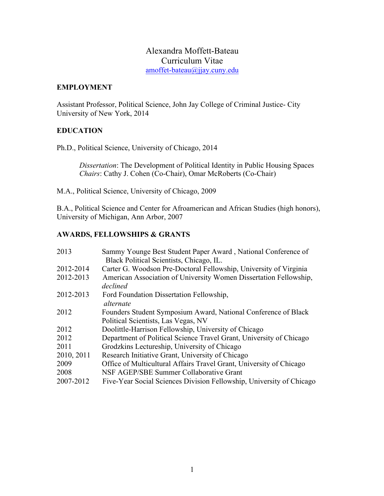# Alexandra Moffett-Bateau Curriculum Vitae amoffet-bateau@jjay.cuny.edu

### **EMPLOYMENT**

Assistant Professor, Political Science, John Jay College of Criminal Justice- City University of New York, 2014

### **EDUCATION**

Ph.D., Political Science, University of Chicago, 2014

*Dissertation*: The Development of Political Identity in Public Housing Spaces  *Chairs*: Cathy J. Cohen (Co-Chair), Omar McRoberts (Co-Chair)

M.A., Political Science, University of Chicago, 2009

B.A., Political Science and Center for Afroamerican and African Studies (high honors), University of Michigan, Ann Arbor, 2007

## **AWARDS, FELLOWSHIPS & GRANTS**

| 2013       | Sammy Younge Best Student Paper Award, National Conference of        |
|------------|----------------------------------------------------------------------|
|            | Black Political Scientists, Chicago, IL.                             |
| 2012-2014  | Carter G. Woodson Pre-Doctoral Fellowship, University of Virginia    |
| 2012-2013  | American Association of University Women Dissertation Fellowship,    |
|            | declined                                                             |
| 2012-2013  | Ford Foundation Dissertation Fellowship,                             |
|            | alternate                                                            |
| 2012       | Founders Student Symposium Award, National Conference of Black       |
|            | Political Scientists, Las Vegas, NV                                  |
| 2012       | Doolittle-Harrison Fellowship, University of Chicago                 |
| 2012       | Department of Political Science Travel Grant, University of Chicago  |
| 2011       | Grodzkins Lectureship, University of Chicago                         |
| 2010, 2011 | Research Initiative Grant, University of Chicago                     |
| 2009       | Office of Multicultural Affairs Travel Grant, University of Chicago  |
| 2008       | NSF AGEP/SBE Summer Collaborative Grant                              |
| 2007-2012  | Five-Year Social Sciences Division Fellowship, University of Chicago |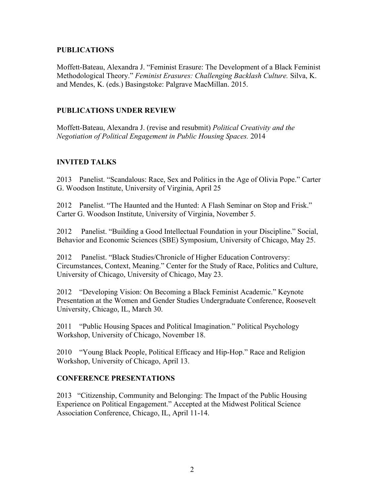## **PUBLICATIONS**

Moffett-Bateau, Alexandra J. "Feminist Erasure: The Development of a Black Feminist Methodological Theory." *Feminist Erasures: Challenging Backlash Culture.* Silva, K. and Mendes, K. (eds.) Basingstoke: Palgrave MacMillan. 2015.

## **PUBLICATIONS UNDER REVIEW**

Moffett-Bateau, Alexandra J. (revise and resubmit) *Political Creativity and the Negotiation of Political Engagement in Public Housing Spaces.* 2014

## **INVITED TALKS**

2013 Panelist. "Scandalous: Race, Sex and Politics in the Age of Olivia Pope." Carter G. Woodson Institute, University of Virginia, April 25

2012 Panelist. "The Haunted and the Hunted: A Flash Seminar on Stop and Frisk." Carter G. Woodson Institute, University of Virginia, November 5.

2012 Panelist. "Building a Good Intellectual Foundation in your Discipline." Social, Behavior and Economic Sciences (SBE) Symposium, University of Chicago, May 25.

2012 Panelist. "Black Studies/Chronicle of Higher Education Controversy: Circumstances, Context, Meaning." Center for the Study of Race, Politics and Culture, University of Chicago, University of Chicago, May 23.

2012 "Developing Vision: On Becoming a Black Feminist Academic." Keynote Presentation at the Women and Gender Studies Undergraduate Conference, Roosevelt University, Chicago, IL, March 30.

2011 "Public Housing Spaces and Political Imagination." Political Psychology Workshop, University of Chicago, November 18.

2010 "Young Black People, Political Efficacy and Hip-Hop." Race and Religion Workshop, University of Chicago, April 13.

## **CONFERENCE PRESENTATIONS**

2013 "Citizenship, Community and Belonging: The Impact of the Public Housing Experience on Political Engagement." Accepted at the Midwest Political Science Association Conference, Chicago, IL, April 11-14.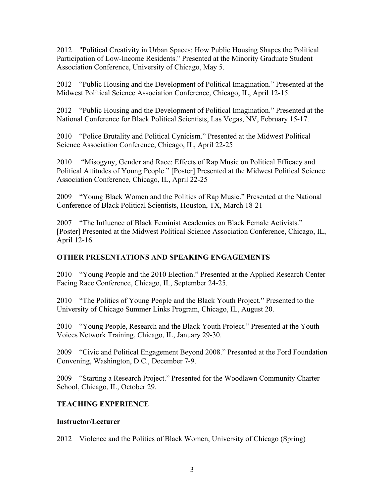2012 "Political Creativity in Urban Spaces: How Public Housing Shapes the Political Participation of Low-Income Residents." Presented at the Minority Graduate Student Association Conference, University of Chicago, May 5.

2012 "Public Housing and the Development of Political Imagination." Presented at the Midwest Political Science Association Conference, Chicago, IL, April 12-15.

2012 "Public Housing and the Development of Political Imagination." Presented at the National Conference for Black Political Scientists, Las Vegas, NV, February 15-17.

2010 "Police Brutality and Political Cynicism." Presented at the Midwest Political Science Association Conference, Chicago, IL, April 22-25

2010 "Misogyny, Gender and Race: Effects of Rap Music on Political Efficacy and Political Attitudes of Young People." [Poster] Presented at the Midwest Political Science Association Conference, Chicago, IL, April 22-25

2009 "Young Black Women and the Politics of Rap Music." Presented at the National Conference of Black Political Scientists, Houston, TX, March 18-21

2007 "The Influence of Black Feminist Academics on Black Female Activists." [Poster] Presented at the Midwest Political Science Association Conference, Chicago, IL, April 12-16.

# **OTHER PRESENTATIONS AND SPEAKING ENGAGEMENTS**

2010 "Young People and the 2010 Election." Presented at the Applied Research Center Facing Race Conference, Chicago, IL, September 24-25.

2010 "The Politics of Young People and the Black Youth Project." Presented to the University of Chicago Summer Links Program, Chicago, IL, August 20.

2010 "Young People, Research and the Black Youth Project." Presented at the Youth Voices Network Training, Chicago, IL, January 29-30.

2009 "Civic and Political Engagement Beyond 2008." Presented at the Ford Foundation Convening, Washington, D.C., December 7-9.

2009 "Starting a Research Project." Presented for the Woodlawn Community Charter School, Chicago, IL, October 29.

# **TEACHING EXPERIENCE**

## **Instructor/Lecturer**

2012 Violence and the Politics of Black Women, University of Chicago (Spring)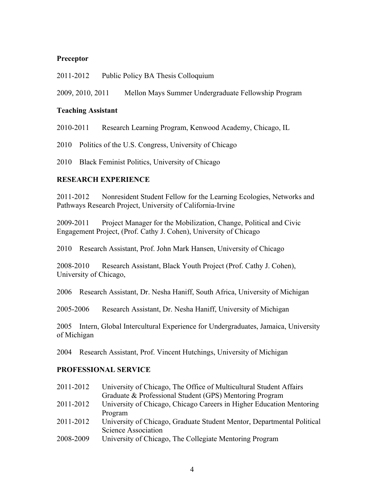## **Preceptor**

2011-2012 Public Policy BA Thesis Colloquium

2009, 2010, 2011 Mellon Mays Summer Undergraduate Fellowship Program

#### **Teaching Assistant**

2010-2011 Research Learning Program, Kenwood Academy, Chicago, IL

2010 Politics of the U.S. Congress, University of Chicago

2010 Black Feminist Politics, University of Chicago

#### **RESEARCH EXPERIENCE**

2011-2012 Nonresident Student Fellow for the Learning Ecologies, Networks and Pathways Research Project, University of California-Irvine

2009-2011 Project Manager for the Mobilization, Change, Political and Civic Engagement Project, (Prof. Cathy J. Cohen), University of Chicago

2010 Research Assistant, Prof. John Mark Hansen, University of Chicago

2008-2010 Research Assistant, Black Youth Project (Prof. Cathy J. Cohen), University of Chicago,

2006 Research Assistant, Dr. Nesha Haniff, South Africa, University of Michigan

2005-2006 Research Assistant, Dr. Nesha Haniff, University of Michigan

2005 Intern, Global Intercultural Experience for Undergraduates, Jamaica, University of Michigan

2004 Research Assistant, Prof. Vincent Hutchings, University of Michigan

#### **PROFESSIONAL SERVICE**

| University of Chicago, The Office of Multicultural Student Affairs     |
|------------------------------------------------------------------------|
| Graduate & Professional Student (GPS) Mentoring Program                |
| University of Chicago, Chicago Careers in Higher Education Mentoring   |
| Program                                                                |
| University of Chicago, Graduate Student Mentor, Departmental Political |
| Science Association                                                    |
| University of Chicago, The Collegiate Mentoring Program                |
|                                                                        |